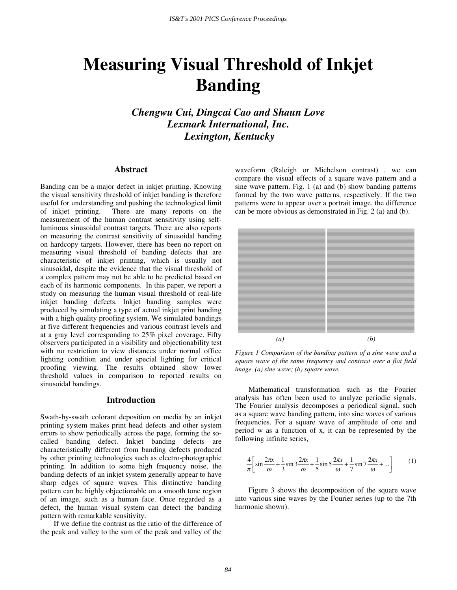# **Measuring Visual Threshold of Inkjet Banding**

*Chengwu Cui, Dingcai Cao and Shaun Love Lexmark International, Inc. Lexington, Kentucky* 

### **Abstract**

Banding can be a major defect in inkjet printing. Knowing the visual sensitivity threshold of inkjet banding is therefore useful for understanding and pushing the technological limit of inkjet printing. There are many reports on the measurement of the human contrast sensitivity using selfluminous sinusoidal contrast targets. There are also reports on measuring the contrast sensitivity of sinusoidal banding on hardcopy targets. However, there has been no report on measuring visual threshold of banding defects that are characteristic of inkjet printing, which is usually not sinusoidal, despite the evidence that the visual threshold of a complex pattern may not be able to be predicted based on each of its harmonic components. In this paper, we report a study on measuring the human visual threshold of real-life inkjet banding defects. Inkjet banding samples were produced by simulating a type of actual inkjet print banding with a high quality proofing system. We simulated bandings at five different frequencies and various contrast levels and at a gray level corresponding to 25% pixel coverage. Fifty observers participated in a visibility and objectionability test with no restriction to view distances under normal office lighting condition and under special lighting for critical proofing viewing. The results obtained show lower threshold values in comparison to reported results on sinusoidal bandings.

## **Introduction**

Swath-by-swath colorant deposition on media by an inkjet printing system makes print head defects and other system errors to show periodically across the page, forming the socalled banding defect. Inkjet banding defects are characteristically different from banding defects produced by other printing technologies such as electro-photographic printing. In addition to some high frequency noise, the banding defects of an inkjet system generally appear to have sharp edges of square waves. This distinctive banding pattern can be highly objectionable on a smooth tone region of an image, such as a human face. Once regarded as a defect, the human visual system can detect the banding pattern with remarkable sensitivity.

If we define the contrast as the ratio of the difference of the peak and valley to the sum of the peak and valley of the

waveform (Raleigh or Michelson contrast) , we can compare the visual effects of a square wave pattern and a sine wave pattern. Fig. 1 (a) and (b) show banding patterns formed by the two wave patterns, respectively. If the two patterns were to appear over a portrait image, the difference can be more obvious as demonstrated in Fig. 2 (a) and (b).



*Figure 1 Comparison of the banding pattern of a sine wave and a square wave of the same frequency and contrast over a flat field image. (a) sine wave; (b) square wave.* 

Mathematical transformation such as the Fourier analysis has often been used to analyze periodic signals. The Fourier analysis decomposes a periodical signal, such as a square wave banding pattern, into sine waves of various frequencies. For a square wave of amplitude of one and period w as a function of x, it can be represented by the following infinite series,

$$
\frac{4}{\pi} \left[ \sin \frac{2\pi x}{\omega} + \frac{1}{3} \sin 3 \frac{2\pi x}{\omega} + \frac{1}{5} \sin 5 \frac{2\pi x}{\omega} + \frac{1}{7} \sin 7 \frac{2\pi x}{\omega} + \dots \right] \tag{1}
$$

Figure 3 shows the decomposition of the square wave into various sine waves by the Fourier series (up to the 7th harmonic shown).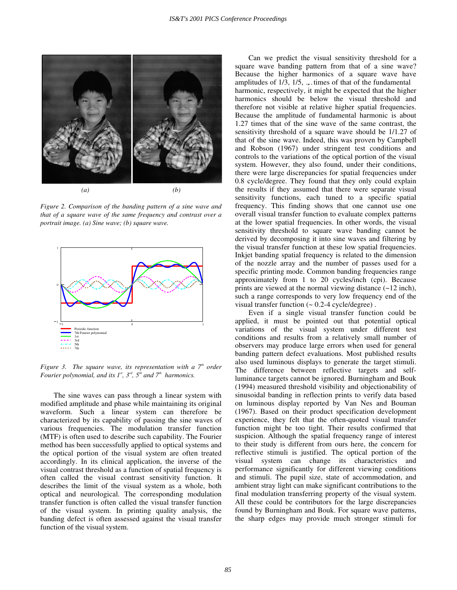

*Figure 2. Comparison of the banding pattern of a sine wave and that of a square wave of the same frequency and contrast over a portrait image. (a) Sine wave; (b) square wave.* 



*Figure 3. The square wave, its representation with a*  $7<sup>th</sup>$  *order Fourier polynomial, and its*  $I^s$ *,*  $3^{rd}$ *,*  $5^{th}$  *and*  $7^{th}$  *harmonics.* 

The sine waves can pass through a linear system with modified amplitude and phase while maintaining its original waveform. Such a linear system can therefore be characterized by its capability of passing the sine waves of various frequencies. The modulation transfer function (MTF) is often used to describe such capability. The Fourier method has been successfully applied to optical systems and the optical portion of the visual system are often treated accordingly. In its clinical application, the inverse of the visual contrast threshold as a function of spatial frequency is often called the visual contrast sensitivity function. It describes the limit of the visual system as a whole, both optical and neurological. The corresponding modulation transfer function is often called the visual transfer function of the visual system. In printing quality analysis, the banding defect is often assessed against the visual transfer function of the visual system.

Can we predict the visual sensitivity threshold for a square wave banding pattern from that of a sine wave? Because the higher harmonics of a square wave have amplitudes of  $1/3$ ,  $1/5$ , ... times of that of the fundamental harmonic, respectively, it might be expected that the higher harmonics should be below the visual threshold and therefore not visible at relative higher spatial frequencies. Because the amplitude of fundamental harmonic is about 1.27 times that of the sine wave of the same contrast, the sensitivity threshold of a square wave should be 1/1.27 of that of the sine wave. Indeed, this was proven by Campbell and Robson (1967) under stringent test conditions and controls to the variations of the optical portion of the visual system. However, they also found, under their conditions, there were large discrepancies for spatial frequencies under 0.8 cycle/degree. They found that they only could explain the results if they assumed that there were separate visual sensitivity functions, each tuned to a specific spatial frequency. This finding shows that one cannot use one overall visual transfer function to evaluate complex patterns at the lower spatial frequencies. In other words, the visual sensitivity threshold to square wave banding cannot be derived by decomposing it into sine waves and filtering by the visual transfer function at these low spatial frequencies. Inkjet banding spatial frequency is related to the dimension of the nozzle array and the number of passes used for a specific printing mode. Common banding frequencies range approximately from 1 to 20 cycles/inch (cpi). Because prints are viewed at the normal viewing distance  $(-12 \text{ inch})$ , such a range corresponds to very low frequency end of the visual transfer function  $($   $\sim$  0.2-4 cycle/degree).

Even if a single visual transfer function could be applied, it must be pointed out that potential optical variations of the visual system under different test conditions and results from a relatively small number of observers may produce large errors when used for general banding pattern defect evaluations. Most published results also used luminous displays to generate the target stimuli. The difference between reflective targets and selfluminance targets cannot be ignored. Burningham and Bouk (1994) measured threshold visibility and objectionability of sinusoidal banding in reflection prints to verify data based on luminous display reported by Van Nes and Bouman (1967). Based on their product specification development experience, they felt that the often-quoted visual transfer function might be too tight. Their results confirmed that suspicion. Although the spatial frequency range of interest to their study is different from ours here, the concern for reflective stimuli is justified. The optical portion of the visual system can change its characteristics and performance significantly for different viewing conditions and stimuli. The pupil size, state of accommodation, and ambient stray light can make significant contributions to the final modulation transferring property of the visual system. All these could be contributors for the large discrepancies found by Burningham and Bouk. For square wave patterns, the sharp edges may provide much stronger stimuli for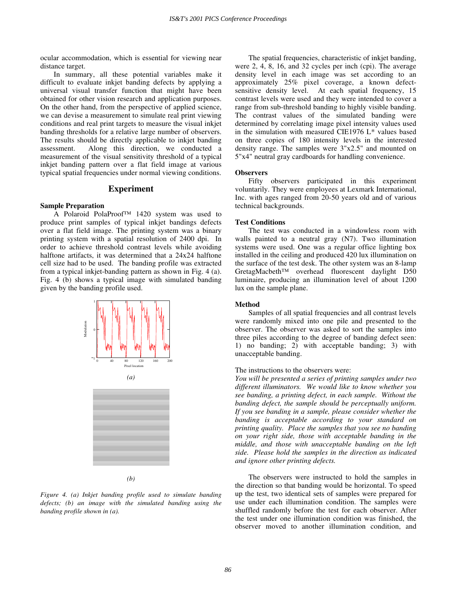ocular accommodation, which is essential for viewing near distance target.

In summary, all these potential variables make it difficult to evaluate inkjet banding defects by applying a universal visual transfer function that might have been obtained for other vision research and application purposes. On the other hand, from the perspective of applied science, we can devise a measurement to simulate real print viewing conditions and real print targets to measure the visual inkjet banding thresholds for a relative large number of observers. The results should be directly applicable to inkjet banding assessment. Along this direction, we conducted a measurement of the visual sensitivity threshold of a typical inkjet banding pattern over a flat field image at various typical spatial frequencies under normal viewing conditions.

#### **Experiment**

#### **Sample Preparation**

A Polaroid PolaProof™ 1420 system was used to produce print samples of typical inkjet bandings defects over a flat field image. The printing system was a binary printing system with a spatial resolution of 2400 dpi. In order to achieve threshold contrast levels while avoiding halftone artifacts, it was determined that a 24x24 halftone cell size had to be used. The banding profile was extracted from a typical inkjet-banding pattern as shown in Fig. 4 (a). Fig. 4 (b) shows a typical image with simulated banding given by the banding profile used.



*(b)* 

*Figure 4. (a) Inkjet banding profile used to simulate banding defects; (b) an image with the simulated banding using the banding profile shown in (a).* 

The spatial frequencies, characteristic of inkjet banding, were 2, 4, 8, 16, and 32 cycles per inch (cpi). The average density level in each image was set according to an approximately 25% pixel coverage, a known defectsensitive density level. At each spatial frequency, 15 contrast levels were used and they were intended to cover a range from sub-threshold banding to highly visible banding. The contrast values of the simulated banding were determined by correlating image pixel intensity values used in the simulation with measured CIE1976 L\* values based on three copies of 180 intensity levels in the interested density range. The samples were 3"x2.5" and mounted on 5"x4" neutral gray cardboards for handling convenience.

#### **Observers**

Fifty observers participated in this experiment voluntarily. They were employees at Lexmark International, Inc. with ages ranged from 20-50 years old and of various technical backgrounds.

#### **Test Conditions**

The test was conducted in a windowless room with walls painted to a neutral gray (N7). Two illumination systems were used. One was a regular office lighting box installed in the ceiling and produced 420 lux illumination on the surface of the test desk. The other system was an 8-lamp GretagMacbeth™ overhead fluorescent daylight D50 luminaire, producing an illumination level of about 1200 lux on the sample plane.

#### **Method**

Samples of all spatial frequencies and all contrast levels were randomly mixed into one pile and presented to the observer. The observer was asked to sort the samples into three piles according to the degree of banding defect seen: 1) no banding; 2) with acceptable banding; 3) with unacceptable banding.

#### The instructions to the observers were:

*You will be presented a series of printing samples under two different illuminators. We would like to know whether you see banding, a printing defect, in each sample. Without the banding defect, the sample should be perceptually uniform. If you see banding in a sample, please consider whether the banding is acceptable according to your standard on printing quality. Place the samples that you see no banding on your right side, those with acceptable banding in the middle, and those with unacceptable banding on the left side. Please hold the samples in the direction as indicated and ignore other printing defects.* 

The observers were instructed to hold the samples in the direction so that banding would be horizontal. To speed up the test, two identical sets of samples were prepared for use under each illumination condition. The samples were shuffled randomly before the test for each observer. After the test under one illumination condition was finished, the observer moved to another illumination condition, and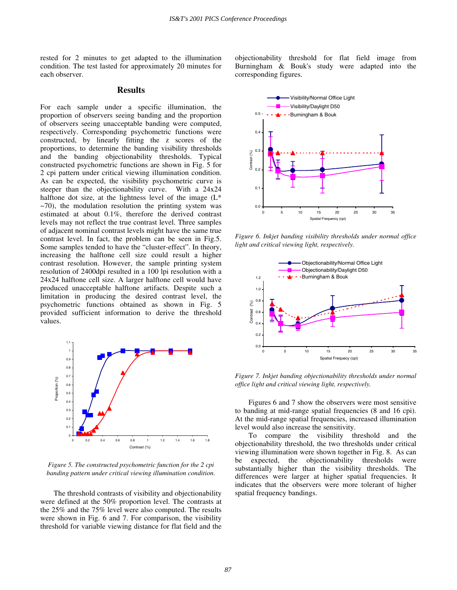rested for 2 minutes to get adapted to the illumination condition. The test lasted for approximately 20 minutes for each observer.

# **Results**

For each sample under a specific illumination, the proportion of observers seeing banding and the proportion of observers seeing unacceptable banding were computed, respectively. Corresponding psychometric functions were constructed, by linearly fitting the z scores of the proportions, to determine the banding visibility thresholds and the banding objectionability thresholds. Typical constructed psychometric functions are shown in Fig. 5 for 2 cpi pattern under critical viewing illumination condition. As can be expected, the visibility psychometric curve is steeper than the objectionability curve. With a 24x24 halftone dot size, at the lightness level of the image  $(L^*)$  $\sim$ 70), the modulation resolution the printing system was estimated at about 0.1%, therefore the derived contrast levels may not reflect the true contrast level. Three samples of adjacent nominal contrast levels might have the same true contrast level. In fact, the problem can be seen in Fig.5. Some samples tended to have the "cluster-effect". In theory, increasing the halftone cell size could result a higher contrast resolution. However, the sample printing system resolution of 2400dpi resulted in a 100 lpi resolution with a 24x24 halftone cell size. A larger halftone cell would have produced unacceptable halftone artifacts. Despite such a limitation in producing the desired contrast level, the psychometric functions obtained as shown in Fig. 5 provided sufficient information to derive the threshold values.



*Figure 5. The constructed psychometric function for the 2 cpi banding pattern under critical viewing illumination condition.* 

The threshold contrasts of visibility and objectionability were defined at the 50% proportion level. The contrasts at the 25% and the 75% level were also computed. The results were shown in Fig. 6 and 7. For comparison, the visibility threshold for variable viewing distance for flat field and the objectionability threshold for flat field image from Burningham & Bouk's study were adapted into the corresponding figures.



*Figure 6. Inkjet banding visibility thresholds under normal office light and critical viewing light, respectively.* 



*Figure 7. Inkjet banding objectionability thresholds under normal office light and critical viewing light, respectively.* 

Figures 6 and 7 show the observers were most sensitive to banding at mid-range spatial frequencies (8 and 16 cpi). At the mid-range spatial frequencies, increased illumination level would also increase the sensitivity.

To compare the visibility threshold and the objectionability threshold, the two thresholds under critical viewing illumination were shown together in Fig. 8. As can be expected, the objectionability thresholds were substantially higher than the visibility thresholds. The differences were larger at higher spatial frequencies. It indicates that the observers were more tolerant of higher spatial frequency bandings.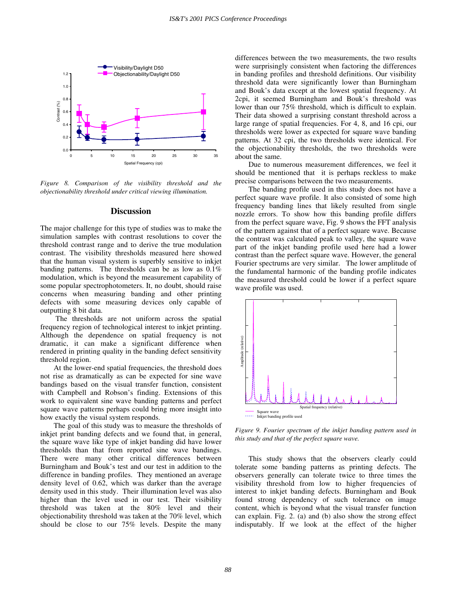

*Figure 8. Comparison of the visibility threshold and the objectionability threshold under critical viewing illumination.* 

#### **Discussion**

The major challenge for this type of studies was to make the simulation samples with contrast resolutions to cover the threshold contrast range and to derive the true modulation contrast. The visibility thresholds measured here showed that the human visual system is superbly sensitive to inkjet banding patterns. The thresholds can be as low as 0.1% modulation, which is beyond the measurement capability of some popular spectrophotometers. It, no doubt, should raise concerns when measuring banding and other printing defects with some measuring devices only capable of outputting 8 bit data.

 The thresholds are not uniform across the spatial frequency region of technological interest to inkjet printing. Although the dependence on spatial frequency is not dramatic, it can make a significant difference when rendered in printing quality in the banding defect sensitivity threshold region.

At the lower-end spatial frequencies, the threshold does not rise as dramatically as can be expected for sine wave bandings based on the visual transfer function, consistent with Campbell and Robson's finding. Extensions of this work to equivalent sine wave banding patterns and perfect square wave patterns perhaps could bring more insight into how exactly the visual system responds.

The goal of this study was to measure the thresholds of inkjet print banding defects and we found that, in general, the square wave like type of inkjet banding did have lower thresholds than that from reported sine wave bandings. There were many other critical differences between Burningham and Bouk's test and our test in addition to the difference in banding profiles. They mentioned an average density level of 0.62, which was darker than the average density used in this study. Their illumination level was also higher than the level used in our test. Their visibility threshold was taken at the 80% level and their objectionability threshold was taken at the 70% level, which should be close to our 75% levels. Despite the many

differences between the two measurements, the two results were surprisingly consistent when factoring the differences in banding profiles and threshold definitions. Our visibility threshold data were significantly lower than Burningham and Bouk's data except at the lowest spatial frequency. At 2cpi, it seemed Burningham and Bouk's threshold was lower than our 75% threshold, which is difficult to explain. Their data showed a surprising constant threshold across a large range of spatial frequencies. For 4, 8, and 16 cpi, our thresholds were lower as expected for square wave banding patterns. At 32 cpi, the two thresholds were identical. For the objectionability thresholds, the two thresholds were about the same.

Due to numerous measurement differences, we feel it should be mentioned that it is perhaps reckless to make precise comparisons between the two measurements.

The banding profile used in this study does not have a perfect square wave profile. It also consisted of some high frequency banding lines that likely resulted from single nozzle errors. To show how this banding profile differs from the perfect square wave, Fig. 9 shows the FFT analysis of the pattern against that of a perfect square wave. Because the contrast was calculated peak to valley, the square wave part of the inkjet banding profile used here had a lower contrast than the perfect square wave. However, the general Fourier spectrums are very similar. The lower amplitude of the fundamental harmonic of the banding profile indicates the measured threshold could be lower if a perfect square wave profile was used.



*Figure 9. Fourier spectrum of the inkjet banding pattern used in this study and that of the perfect square wave.* 

This study shows that the observers clearly could tolerate some banding patterns as printing defects. The observers generally can tolerate twice to three times the visibility threshold from low to higher frequencies of interest to inkjet banding defects. Burningham and Bouk found strong dependency of such tolerance on image content, which is beyond what the visual transfer function can explain. Fig. 2. (a) and (b) also show the strong effect indisputably. If we look at the effect of the higher